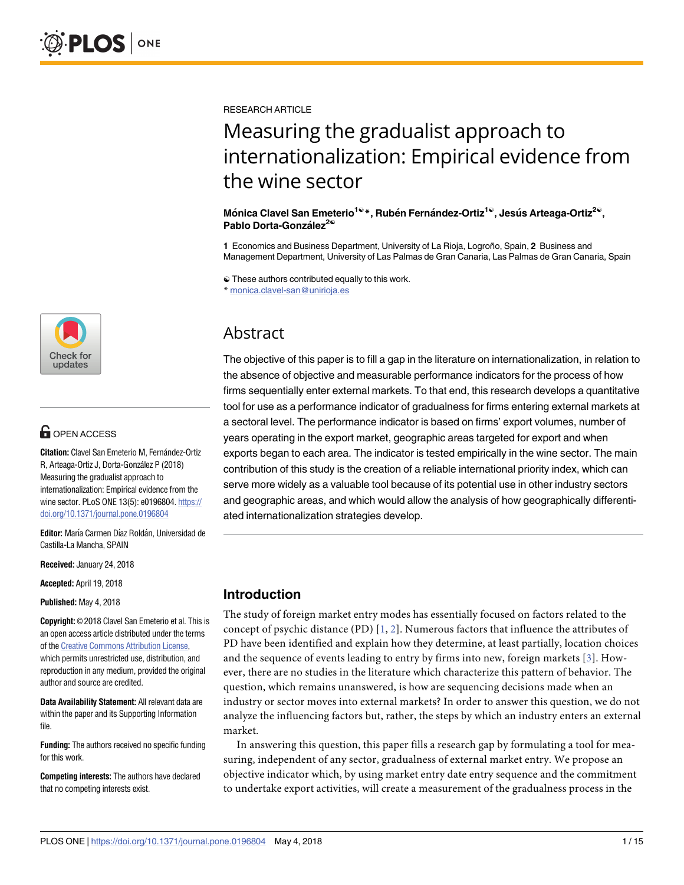

# **G** OPEN ACCESS

**Citation:** Clavel San Emeterio M, Fernández-Ortiz R, Arteaga-Ortiz J, Dorta-González P (2018) Measuring the gradualist approach to internationalization: Empirical evidence from the wine sector. PLoS ONE 13(5): e0196804. [https://](https://doi.org/10.1371/journal.pone.0196804) [doi.org/10.1371/journal.pone.0196804](https://doi.org/10.1371/journal.pone.0196804)

Editor: María Carmen Díaz Roldán, Universidad de Castilla-La Mancha, SPAIN

**Received:** January 24, 2018

**Accepted:** April 19, 2018

**Published:** May 4, 2018

**Copyright:** © 2018 Clavel San Emeterio et al. This is an open access article distributed under the terms of the Creative [Commons](http://creativecommons.org/licenses/by/4.0/) Attribution License, which permits unrestricted use, distribution, and reproduction in any medium, provided the original author and source are credited.

**Data Availability Statement:** All relevant data are within the paper and its Supporting Information file.

**Funding:** The authors received no specific funding for this work.

**Competing interests:** The authors have declared that no competing interests exist.

<span id="page-0-0"></span>RESEARCH ARTICLE

# Measuring the gradualist approach to internationalization: Empirical evidence from the wine sector

#### **Mo´nica Clavel San Emeterio1**☯**\*, Rube´n Ferna´ndez-Ortiz1**☯**, Jesu´s Arteaga-Ortiz2**☯**, Pablo Dorta-González<sup>2®</sup>**

**1** Economics and Business Department, University of La Rioja, Logroño, Spain, **2** Business and Management Department, University of Las Palmas de Gran Canaria, Las Palmas de Gran Canaria, Spain

☯ These authors contributed equally to this work.

\* monica.clavel-san@unirioja.es

# Abstract

The objective of this paper is to fill a gap in the literature on internationalization, in relation to the absence of objective and measurable performance indicators for the process of how firms sequentially enter external markets. To that end, this research develops a quantitative tool for use as a performance indicator of gradualness for firms entering external markets at a sectoral level. The performance indicator is based on firms' export volumes, number of years operating in the export market, geographic areas targeted for export and when exports began to each area. The indicator is tested empirically in the wine sector. The main contribution of this study is the creation of a reliable international priority index, which can serve more widely as a valuable tool because of its potential use in other industry sectors and geographic areas, and which would allow the analysis of how geographically differentiated internationalization strategies develop.

# **Introduction**

The study of foreign market entry modes has essentially focused on factors related to the concept of psychic distance (PD)  $[1, 2]$  $[1, 2]$  $[1, 2]$ . Numerous factors that influence the attributes of PD have been identified and explain how they determine, at least partially, location choices and the sequence of events leading to entry by firms into new, foreign markets [[3\]](#page-11-0). However, there are no studies in the literature which characterize this pattern of behavior. The question, which remains unanswered, is how are sequencing decisions made when an industry or sector moves into external markets? In order to answer this question, we do not analyze the influencing factors but, rather, the steps by which an industry enters an external market.

In answering this question, this paper fills a research gap by formulating a tool for measuring, independent of any sector, gradualness of external market entry. We propose an objective indicator which, by using market entry date entry sequence and the commitment to undertake export activities, will create a measurement of the gradualness process in the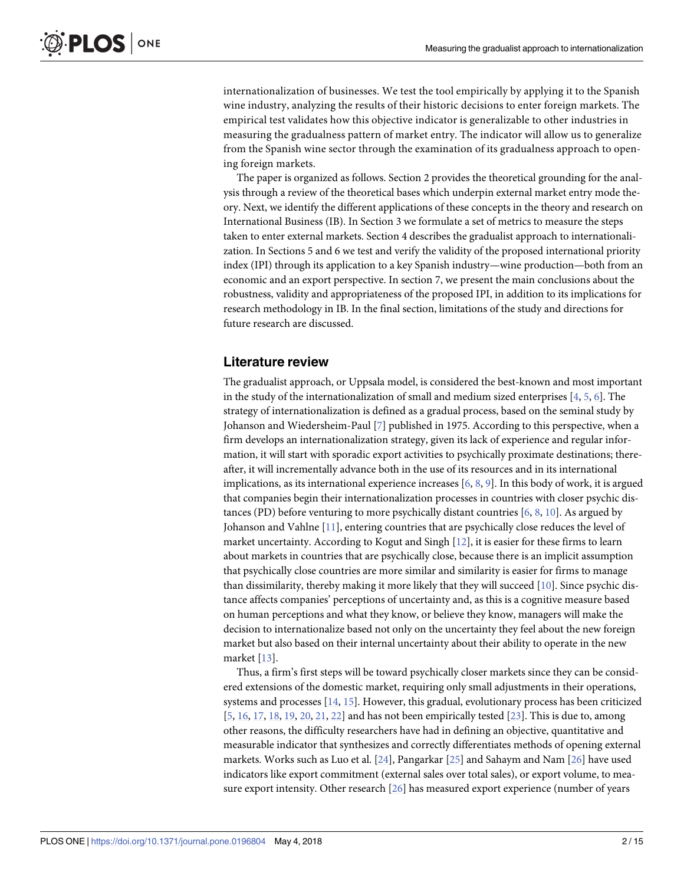<span id="page-1-0"></span>internationalization of businesses. We test the tool empirically by applying it to the Spanish wine industry, analyzing the results of their historic decisions to enter foreign markets. The empirical test validates how this objective indicator is generalizable to other industries in measuring the gradualness pattern of market entry. The indicator will allow us to generalize from the Spanish wine sector through the examination of its gradualness approach to opening foreign markets.

The paper is organized as follows. Section 2 provides the theoretical grounding for the analysis through a review of the theoretical bases which underpin external market entry mode theory. Next, we identify the different applications of these concepts in the theory and research on International Business (IB). In Section 3 we formulate a set of metrics to measure the steps taken to enter external markets. Section 4 describes the gradualist approach to internationalization. In Sections 5 and 6 we test and verify the validity of the proposed international priority index (IPI) through its application to a key Spanish industry—wine production—both from an economic and an export perspective. In section 7, we present the main conclusions about the robustness, validity and appropriateness of the proposed IPI, in addition to its implications for research methodology in IB. In the final section, limitations of the study and directions for future research are discussed.

# **Literature review**

The gradualist approach, or Uppsala model, is considered the best-known and most important in the study of the internationalization of small and medium sized enterprises [\[4](#page-11-0), [5](#page-12-0), [6\]](#page-12-0). The strategy of internationalization is defined as a gradual process, based on the seminal study by Johanson and Wiedersheim-Paul [[7](#page-12-0)] published in 1975. According to this perspective, when a firm develops an internationalization strategy, given its lack of experience and regular information, it will start with sporadic export activities to psychically proximate destinations; thereafter, it will incrementally advance both in the use of its resources and in its international implications, as its international experience increases  $[6, 8, 9]$  $[6, 8, 9]$  $[6, 8, 9]$  $[6, 8, 9]$  $[6, 8, 9]$  $[6, 8, 9]$ . In this body of work, it is argued that companies begin their internationalization processes in countries with closer psychic distances (PD) before venturing to more psychically distant countries [[6](#page-12-0), [8,](#page-12-0) [10](#page-12-0)]. As argued by Johanson and Vahlne [\[11\]](#page-12-0), entering countries that are psychically close reduces the level of market uncertainty. According to Kogut and Singh [\[12\]](#page-12-0), it is easier for these firms to learn about markets in countries that are psychically close, because there is an implicit assumption that psychically close countries are more similar and similarity is easier for firms to manage than dissimilarity, thereby making it more likely that they will succeed [\[10\]](#page-12-0). Since psychic distance affects companies' perceptions of uncertainty and, as this is a cognitive measure based on human perceptions and what they know, or believe they know, managers will make the decision to internationalize based not only on the uncertainty they feel about the new foreign market but also based on their internal uncertainty about their ability to operate in the new market [\[13\]](#page-12-0).

Thus, a firm's first steps will be toward psychically closer markets since they can be considered extensions of the domestic market, requiring only small adjustments in their operations, systems and processes  $[14, 15]$  $[14, 15]$  $[14, 15]$ . However, this gradual, evolutionary process has been criticized [\[5](#page-12-0), [16](#page-12-0), [17](#page-12-0), [18](#page-12-0), [19,](#page-12-0) [20,](#page-12-0) [21,](#page-12-0) [22\]](#page-12-0) and has not been empirically tested [\[23\]](#page-12-0). This is due to, among other reasons, the difficulty researchers have had in defining an objective, quantitative and measurable indicator that synthesizes and correctly differentiates methods of opening external markets. Works such as Luo et al. [\[24\]](#page-12-0), Pangarkar [[25](#page-12-0)] and Sahaym and Nam [\[26\]](#page-12-0) have used indicators like export commitment (external sales over total sales), or export volume, to measure export intensity. Other research [\[26\]](#page-12-0) has measured export experience (number of years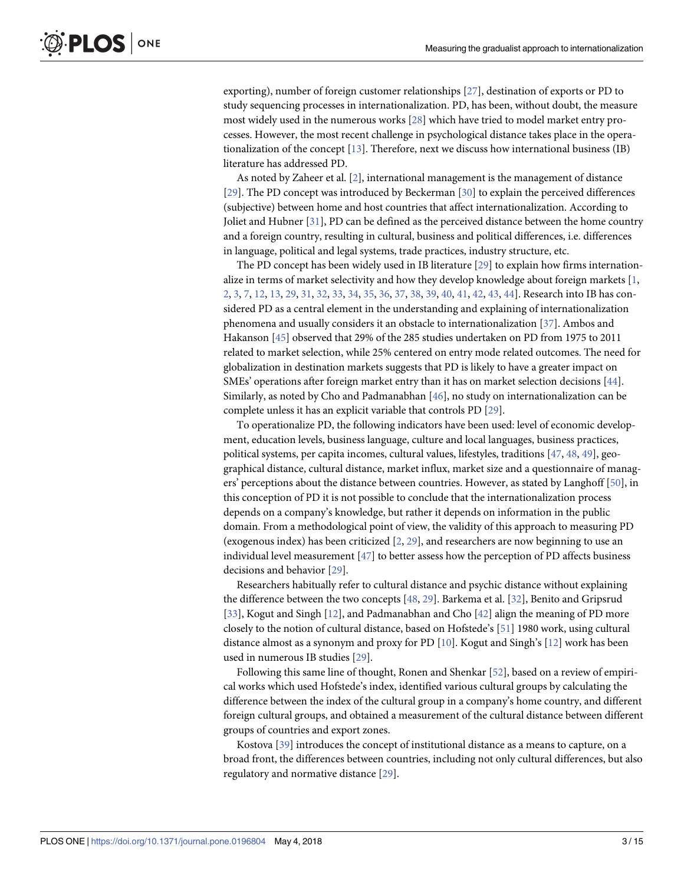<span id="page-2-0"></span>exporting), number of foreign customer relationships [\[27\]](#page-12-0), destination of exports or PD to study sequencing processes in internationalization. PD, has been, without doubt, the measure most widely used in the numerous works [[28](#page-12-0)] which have tried to model market entry processes. However, the most recent challenge in psychological distance takes place in the operationalization of the concept [\[13\]](#page-12-0). Therefore, next we discuss how international business (IB) literature has addressed PD.

As noted by Zaheer et al. [[2\]](#page-11-0), international management is the management of distance [\[29\]](#page-12-0). The PD concept was introduced by Beckerman [\[30\]](#page-12-0) to explain the perceived differences (subjective) between home and host countries that affect internationalization. According to Joliet and Hubner [\[31\]](#page-13-0), PD can be defined as the perceived distance between the home country and a foreign country, resulting in cultural, business and political differences, i.e. differences in language, political and legal systems, trade practices, industry structure, etc.

The PD concept has been widely used in IB literature [\[29\]](#page-12-0) to explain how firms internationalize in terms of market selectivity and how they develop knowledge about foreign markets [[1](#page-11-0), [2,](#page-11-0) [3,](#page-11-0) [7](#page-12-0), [12](#page-12-0), [13](#page-12-0), [29](#page-12-0), [31](#page-13-0), [32](#page-13-0), [33,](#page-13-0) [34,](#page-13-0) [35,](#page-13-0) [36,](#page-13-0) [37,](#page-13-0) [38,](#page-13-0) [39,](#page-13-0) [40,](#page-13-0) [41,](#page-13-0) [42,](#page-13-0) [43,](#page-13-0) [44\]](#page-13-0). Research into IB has considered PD as a central element in the understanding and explaining of internationalization phenomena and usually considers it an obstacle to internationalization [\[37\]](#page-13-0). Ambos and Hakanson [[45](#page-13-0)] observed that 29% of the 285 studies undertaken on PD from 1975 to 2011 related to market selection, while 25% centered on entry mode related outcomes. The need for globalization in destination markets suggests that PD is likely to have a greater impact on SMEs' operations after foreign market entry than it has on market selection decisions [[44](#page-13-0)]. Similarly, as noted by Cho and Padmanabhan [\[46\]](#page-13-0), no study on internationalization can be complete unless it has an explicit variable that controls PD [\[29\]](#page-12-0).

To operationalize PD, the following indicators have been used: level of economic development, education levels, business language, culture and local languages, business practices, political systems, per capita incomes, cultural values, lifestyles, traditions [\[47,](#page-13-0) [48,](#page-13-0) [49\]](#page-13-0), geographical distance, cultural distance, market influx, market size and a questionnaire of managers' perceptions about the distance between countries. However, as stated by Langhoff [\[50\]](#page-13-0), in this conception of PD it is not possible to conclude that the internationalization process depends on a company's knowledge, but rather it depends on information in the public domain. From a methodological point of view, the validity of this approach to measuring PD (exogenous index) has been criticized [[2,](#page-11-0) [29\]](#page-12-0), and researchers are now beginning to use an individual level measurement [\[47\]](#page-13-0) to better assess how the perception of PD affects business decisions and behavior [[29](#page-12-0)].

Researchers habitually refer to cultural distance and psychic distance without explaining the difference between the two concepts [\[48,](#page-13-0) [29\]](#page-12-0). Barkema et al. [[32](#page-13-0)], Benito and Gripsrud [\[33\]](#page-13-0), Kogut and Singh [\[12\]](#page-12-0), and Padmanabhan and Cho [[42](#page-13-0)] align the meaning of PD more closely to the notion of cultural distance, based on Hofstede's [[51](#page-13-0)] 1980 work, using cultural distance almost as a synonym and proxy for PD  $[10]$  $[10]$  $[10]$ . Kogut and Singh's  $[12]$  $[12]$  $[12]$  work has been used in numerous IB studies [[29](#page-12-0)].

Following this same line of thought, Ronen and Shenkar [\[52\]](#page-13-0), based on a review of empirical works which used Hofstede's index, identified various cultural groups by calculating the difference between the index of the cultural group in a company's home country, and different foreign cultural groups, and obtained a measurement of the cultural distance between different groups of countries and export zones.

Kostova [[39](#page-13-0)] introduces the concept of institutional distance as a means to capture, on a broad front, the differences between countries, including not only cultural differences, but also regulatory and normative distance [\[29\]](#page-12-0).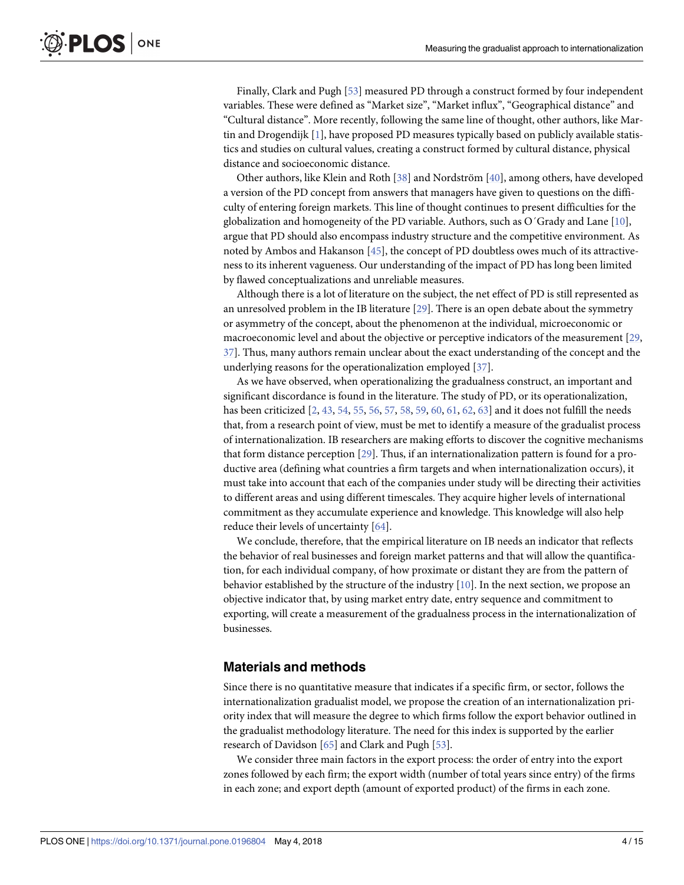<span id="page-3-0"></span>Finally, Clark and Pugh [\[53\]](#page-13-0) measured PD through a construct formed by four independent variables. These were defined as "Market size", "Market influx", "Geographical distance" and "Cultural distance". More recently, following the same line of thought, other authors, like Mar-tin and Drogendijk [\[1\]](#page-11-0), have proposed PD measures typically based on publicly available statistics and studies on cultural values, creating a construct formed by cultural distance, physical distance and socioeconomic distance.

Other authors, like Klein and Roth [\[38\]](#page-13-0) and Nordström [\[40\]](#page-13-0), among others, have developed a version of the PD concept from answers that managers have given to questions on the difficulty of entering foreign markets. This line of thought continues to present difficulties for the globalization and homogeneity of the PD variable. Authors, such as O´Grady and Lane [\[10\]](#page-12-0), argue that PD should also encompass industry structure and the competitive environment. As noted by Ambos and Hakanson [[45](#page-13-0)], the concept of PD doubtless owes much of its attractiveness to its inherent vagueness. Our understanding of the impact of PD has long been limited by flawed conceptualizations and unreliable measures.

Although there is a lot of literature on the subject, the net effect of PD is still represented as an unresolved problem in the IB literature [[29](#page-12-0)]. There is an open debate about the symmetry or asymmetry of the concept, about the phenomenon at the individual, microeconomic or macroeconomic level and about the objective or perceptive indicators of the measurement [\[29,](#page-12-0) [37\]](#page-13-0). Thus, many authors remain unclear about the exact understanding of the concept and the underlying reasons for the operationalization employed [[37](#page-13-0)].

As we have observed, when operationalizing the gradualness construct, an important and significant discordance is found in the literature. The study of PD, or its operationalization, has been criticized [\[2,](#page-11-0) [43,](#page-13-0) [54,](#page-13-0) [55,](#page-13-0) [56,](#page-13-0) [57,](#page-14-0) [58,](#page-14-0) [59,](#page-14-0) [60,](#page-14-0) [61,](#page-14-0) [62](#page-14-0), [63](#page-14-0)] and it does not fulfill the needs that, from a research point of view, must be met to identify a measure of the gradualist process of internationalization. IB researchers are making efforts to discover the cognitive mechanisms that form distance perception [\[29\]](#page-12-0). Thus, if an internationalization pattern is found for a productive area (defining what countries a firm targets and when internationalization occurs), it must take into account that each of the companies under study will be directing their activities to different areas and using different timescales. They acquire higher levels of international commitment as they accumulate experience and knowledge. This knowledge will also help reduce their levels of uncertainty [[64](#page-14-0)].

We conclude, therefore, that the empirical literature on IB needs an indicator that reflects the behavior of real businesses and foreign market patterns and that will allow the quantification, for each individual company, of how proximate or distant they are from the pattern of behavior established by the structure of the industry [[10](#page-12-0)]. In the next section, we propose an objective indicator that, by using market entry date, entry sequence and commitment to exporting, will create a measurement of the gradualness process in the internationalization of businesses.

## **Materials and methods**

Since there is no quantitative measure that indicates if a specific firm, or sector, follows the internationalization gradualist model, we propose the creation of an internationalization priority index that will measure the degree to which firms follow the export behavior outlined in the gradualist methodology literature. The need for this index is supported by the earlier research of Davidson [[65](#page-14-0)] and Clark and Pugh [\[53\]](#page-13-0).

We consider three main factors in the export process: the order of entry into the export zones followed by each firm; the export width (number of total years since entry) of the firms in each zone; and export depth (amount of exported product) of the firms in each zone.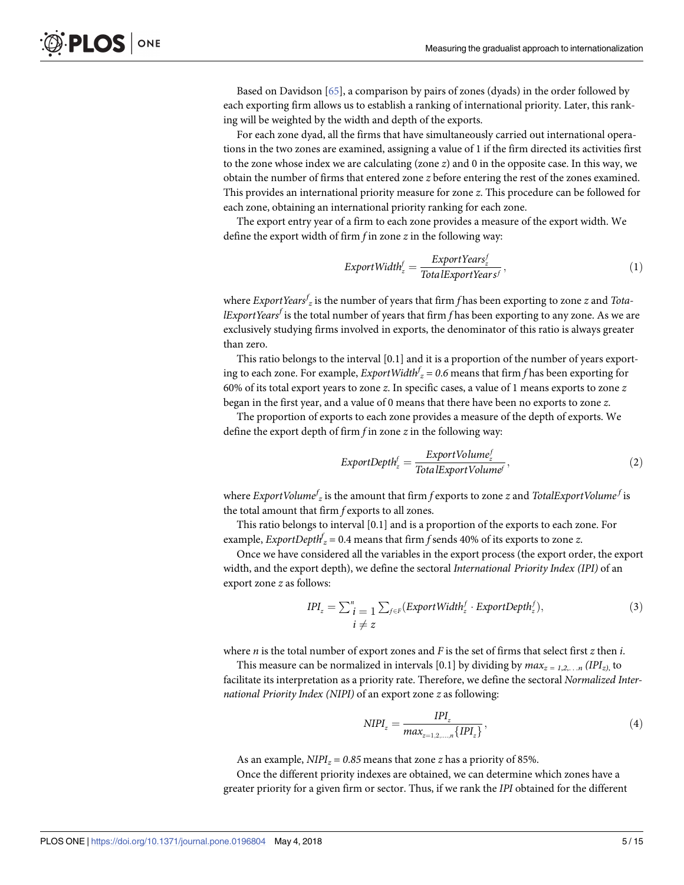Based on Davidson [\[65\]](#page-14-0), a comparison by pairs of zones (dyads) in the order followed by each exporting firm allows us to establish a ranking of international priority. Later, this ranking will be weighted by the width and depth of the exports.

For each zone dyad, all the firms that have simultaneously carried out international operations in the two zones are examined, assigning a value of 1 if the firm directed its activities first to the zone whose index we are calculating (zone *z*) and 0 in the opposite case. In this way, we obtain the number of firms that entered zone *z* before entering the rest of the zones examined. This provides an international priority measure for zone *z*. This procedure can be followed for each zone, obtaining an international priority ranking for each zone.

The export entry year of a firm to each zone provides a measure of the export width. We define the export width of firm *f* in zone *z* in the following way:

$$
ExportWidth_{z}^{f} = \frac{ExportYears_{z}^{f}}{TotalExportYears^{f}},
$$
\n(1)

where *ExportYears<sup>f</sup> <sup>z</sup>* is the number of years that firm *f* has been exporting to zone *z* and *TotalExportYears<sup>f</sup>* is the total number of years that firm *f* has been exporting to any zone. As we are exclusively studying firms involved in exports, the denominator of this ratio is always greater than zero.

This ratio belongs to the interval [0.1] and it is a proportion of the number of years exporting to each zone. For example, *ExportWidth<sup>f</sup> <sup>z</sup> = 0*.*6* means that firm *f* has been exporting for 60% of its total export years to zone *z*. In specific cases, a value of 1 means exports to zone *z* began in the first year, and a value of 0 means that there have been no exports to zone *z*.

The proportion of exports to each zone provides a measure of the depth of exports. We define the export depth of firm *f* in zone *z* in the following way:

$$
ExportDepth_z^f = \frac{ExportVolume_z^f}{TotalExportVolume^f},
$$
\n(2)

where  $\emph{ExportVolume}^f_z$  is the amount that firm  $f$  exports to zone  $z$  and  $\emph{TotalExportVolume}^f$  is the total amount that firm *f* exports to all zones.

This ratio belongs to interval [0.1] and is a proportion of the exports to each zone. For example,  $\pounds xportDepth_z' = 0.4$  means that firm  $f$  sends 40% of its exports to zone  $z$ .

Once we have considered all the variables in the export process (the export order, the export width, and the export depth), we define the sectoral *International Priority Index (IPI)* of an export zone *z* as follows:

$$
IPI_z = \sum_{i=1}^{n} \sum_{f \in F} (ExportWidth_z^f \cdot ExportDepth_z^f),
$$
  
  $i \neq z$  (3)

where *n* is the total number of export zones and *F* is the set of firms that select first *z* then *i*.

This measure can be normalized in intervals [0.1] by dividing by  $max_{z=1,2,...,n} (IPI_{z})$  to facilitate its interpretation as a priority rate. Therefore, we define the sectoral *Normalized International Priority Index (NIPI)* of an export zone *z* as following:

$$
NIPI_z = \frac{IPI_z}{max_{z=1,2,\dots,n} \{IPI_z\}},\tag{4}
$$

As an example,  $NIPI_z = 0.85$  means that zone *z* has a priority of 85%.

Once the different priority indexes are obtained, we can determine which zones have a greater priority for a given firm or sector. Thus, if we rank the *IPI* obtained for the different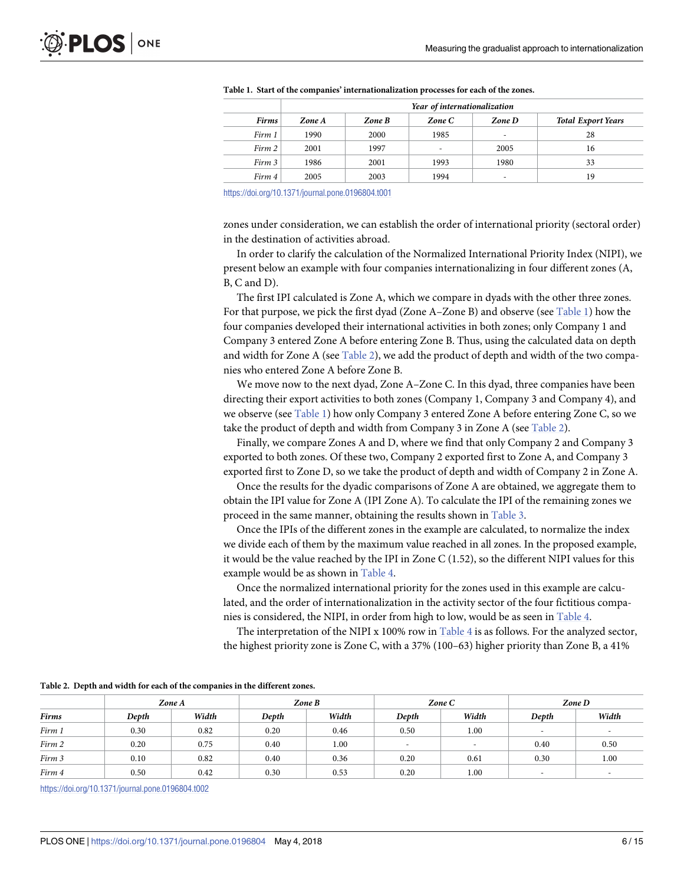|        | Year of internationalization |        |                          |        |                           |  |  |
|--------|------------------------------|--------|--------------------------|--------|---------------------------|--|--|
| Firms  | Zone A                       | Zone B | Zone C                   | Zone D | <b>Total Export Years</b> |  |  |
| Firm 1 | 1990                         | 2000   | 1985                     | -      | 28                        |  |  |
| Firm 2 | 2001                         | 1997   | $\overline{\phantom{a}}$ | 2005   | 16                        |  |  |
| Firm 3 | 1986                         | 2001   | 1993                     | 1980   | 33                        |  |  |
| Firm 4 | 2005                         | 2003   | 1994                     | ۰      | 19                        |  |  |

<span id="page-5-0"></span>

|  |  | Table 1. Start of the companies' internationalization processes for each of the zones. |
|--|--|----------------------------------------------------------------------------------------|
|  |  |                                                                                        |

zones under consideration, we can establish the order of international priority (sectoral order) in the destination of activities abroad.

In order to clarify the calculation of the Normalized International Priority Index (NIPI), we present below an example with four companies internationalizing in four different zones (A, B, C and D).

The first IPI calculated is Zone A, which we compare in dyads with the other three zones. For that purpose, we pick the first dyad (Zone A–Zone B) and observe (see Table 1) how the four companies developed their international activities in both zones; only Company 1 and Company 3 entered Zone A before entering Zone B. Thus, using the calculated data on depth and width for Zone A (see Table 2), we add the product of depth and width of the two companies who entered Zone A before Zone B.

We move now to the next dyad, Zone A–Zone C. In this dyad, three companies have been directing their export activities to both zones (Company 1, Company 3 and Company 4), and we observe (see Table 1) how only Company 3 entered Zone A before entering Zone C, so we take the product of depth and width from Company 3 in Zone A (see Table 2).

Finally, we compare Zones A and D, where we find that only Company 2 and Company 3 exported to both zones. Of these two, Company 2 exported first to Zone A, and Company 3 exported first to Zone D, so we take the product of depth and width of Company 2 in Zone A.

Once the results for the dyadic comparisons of Zone A are obtained, we aggregate them to obtain the IPI value for Zone A (IPI Zone A). To calculate the IPI of the remaining zones we proceed in the same manner, obtaining the results shown in [Table](#page-6-0) 3.

Once the IPIs of the different zones in the example are calculated, to normalize the index we divide each of them by the maximum value reached in all zones. In the proposed example, it would be the value reached by the IPI in Zone C (1.52), so the different NIPI values for this example would be as shown in [Table](#page-6-0) 4.

Once the normalized international priority for the zones used in this example are calculated, and the order of internationalization in the activity sector of the four fictitious companies is considered, the NIPI, in order from high to low, would be as seen in [Table](#page-6-0) 4.

The interpretation of the NIPI x 100% row in  $Table 4$  $Table 4$  is as follows. For the analyzed sector, the highest priority zone is Zone C, with a 37% (100–63) higher priority than Zone B, a 41%

|        | Zone A |       | Zone B |       | Zone C                   |                          | Zone D                   |                          |
|--------|--------|-------|--------|-------|--------------------------|--------------------------|--------------------------|--------------------------|
| Firms  | Depth  | Width | Depth  | Width | Depth                    | Width                    | Depth                    | Width                    |
| Firm 1 | 0.30   | 0.82  | 0.20   | 0.46  | 0.50                     | 1.00                     |                          |                          |
| Firm 2 | 0.20   | 0.75  | 0.40   | 1.00  | $\overline{\phantom{a}}$ | $\overline{\phantom{a}}$ | 0.40                     | 0.50                     |
| Firm 3 | 0.10   | 0.82  | 0.40   | 0.36  | 0.20                     | 0.61                     | 0.30                     | 1.00                     |
| Firm 4 | 0.50   | 0.42  | 0.30   | 0.53  | 0.20                     | 1.00                     | $\overline{\phantom{a}}$ | $\overline{\phantom{a}}$ |

**Table 2. Depth and width for each of the companies in the different zones.**

<https://doi.org/10.1371/journal.pone.0196804.t002>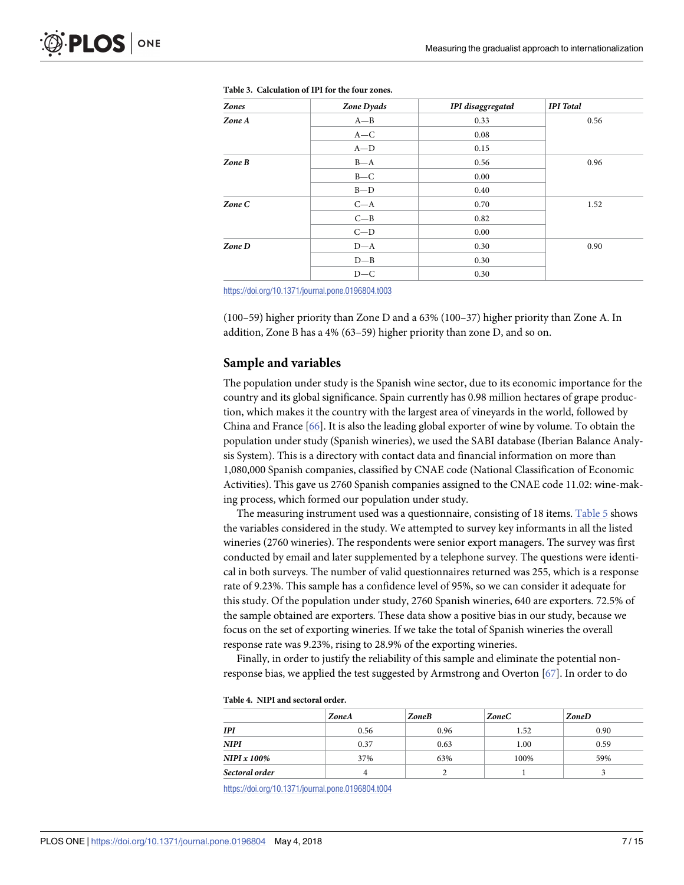| Zones  | Zone Dyads | <b>IPI</b> disaggregated | <b>IPI</b> Total |
|--------|------------|--------------------------|------------------|
| Zone A | $A - B$    | 0.33                     | 0.56             |
|        | $A-C$      | 0.08                     |                  |
|        | $A-D$      | 0.15                     |                  |
| Zone B | $B-A$      | 0.56                     | 0.96             |
|        | $B-C$      | 0.00                     |                  |
|        | $B-D$      | 0.40                     |                  |
| Zone C | $C - A$    | 0.70                     | 1.52             |
|        | $C - B$    | 0.82                     |                  |
|        | $C - D$    | 0.00                     |                  |
| Zone D | $D - A$    | 0.30                     | 0.90             |
|        | $D - B$    | 0.30                     |                  |
|        | $D - C$    | 0.30                     |                  |

<span id="page-6-0"></span>**[Table](#page-5-0) 3. Calculation of IPI for the four zones.**

(100–59) higher priority than Zone D and a 63% (100–37) higher priority than Zone A. In addition, Zone B has a 4% (63–59) higher priority than zone D, and so on.

#### **Sample and variables**

The population under study is the Spanish wine sector, due to its economic importance for the country and its global significance. Spain currently has 0.98 million hectares of grape production, which makes it the country with the largest area of vineyards in the world, followed by China and France [[66](#page-14-0)]. It is also the leading global exporter of wine by volume. To obtain the population under study (Spanish wineries), we used the SABI database (Iberian Balance Analysis System). This is a directory with contact data and financial information on more than 1,080,000 Spanish companies, classified by CNAE code (National Classification of Economic Activities). This gave us 2760 Spanish companies assigned to the CNAE code 11.02: wine-making process, which formed our population under study.

The measuring instrument used was a questionnaire, consisting of 18 items. [Table](#page-7-0) 5 shows the variables considered in the study. We attempted to survey key informants in all the listed wineries (2760 wineries). The respondents were senior export managers. The survey was first conducted by email and later supplemented by a telephone survey. The questions were identical in both surveys. The number of valid questionnaires returned was 255, which is a response rate of 9.23%. This sample has a confidence level of 95%, so we can consider it adequate for this study. Of the population under study, 2760 Spanish wineries, 640 are exporters. 72.5% of the sample obtained are exporters. These data show a positive bias in our study, because we focus on the set of exporting wineries. If we take the total of Spanish wineries the overall response rate was 9.23%, rising to 28.9% of the exporting wineries.

Finally, in order to justify the reliability of this sample and eliminate the potential nonresponse bias, we applied the test suggested by Armstrong and Overton [\[67\]](#page-14-0). In order to do

|                    | ZoneA | ZoneB | <b>ZoneC</b> | ZoneD |
|--------------------|-------|-------|--------------|-------|
| <b>IPI</b>         | 0.56  | 0.96  | 1.52         | 0.90  |
| <b>NIPI</b>        | 0.37  | 0.63  | 1.00         | 0.59  |
| <b>NIPI x 100%</b> | 37%   | 63%   | 100%         | 59%   |
| Sectoral order     |       |       |              |       |

**[Table](#page-5-0) 4. NIPI and sectoral order.**

<https://doi.org/10.1371/journal.pone.0196804.t004>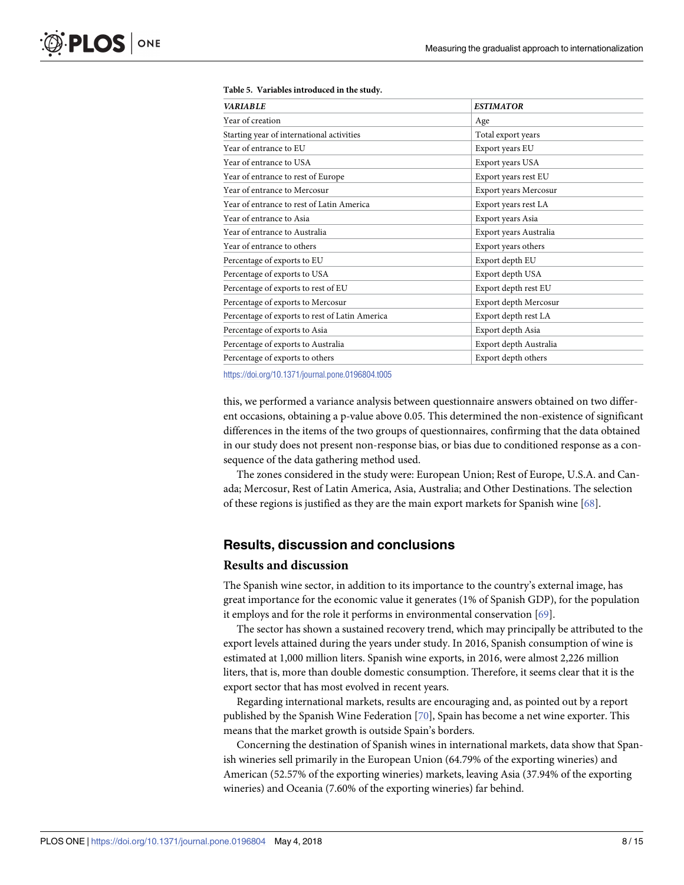<span id="page-7-0"></span>

| VARIABLE                                       | <b>ESTIMATOR</b>             |  |  |
|------------------------------------------------|------------------------------|--|--|
| Year of creation                               | Age                          |  |  |
| Starting year of international activities      | Total export years           |  |  |
| Year of entrance to EU                         | Export years EU              |  |  |
| Year of entrance to USA                        | Export years USA             |  |  |
| Year of entrance to rest of Europe             | Export years rest EU         |  |  |
| Year of entrance to Mercosur                   | <b>Export years Mercosur</b> |  |  |
| Year of entrance to rest of Latin America      | Export years rest LA         |  |  |
| Year of entrance to Asia                       | Export years Asia            |  |  |
| Year of entrance to Australia                  | Export years Australia       |  |  |
| Year of entrance to others                     | Export years others          |  |  |
| Percentage of exports to EU                    | Export depth EU              |  |  |
| Percentage of exports to USA                   | Export depth USA             |  |  |
| Percentage of exports to rest of EU            | Export depth rest EU         |  |  |
| Percentage of exports to Mercosur              | Export depth Mercosur        |  |  |
| Percentage of exports to rest of Latin America | Export depth rest LA         |  |  |
| Percentage of exports to Asia                  | Export depth Asia            |  |  |
| Percentage of exports to Australia             | Export depth Australia       |  |  |
| Percentage of exports to others                | Export depth others          |  |  |

**[Table](#page-6-0) 5. Variables introduced in the study.**

this, we performed a variance analysis between questionnaire answers obtained on two different occasions, obtaining a p-value above 0.05. This determined the non-existence of significant differences in the items of the two groups of questionnaires, confirming that the data obtained in our study does not present non-response bias, or bias due to conditioned response as a consequence of the data gathering method used.

The zones considered in the study were: European Union; Rest of Europe, U.S.A. and Canada; Mercosur, Rest of Latin America, Asia, Australia; and Other Destinations. The selection of these regions is justified as they are the main export markets for Spanish wine [\[68\]](#page-14-0).

#### **Results, discussion and conclusions**

#### **Results and discussion**

The Spanish wine sector, in addition to its importance to the country's external image, has great importance for the economic value it generates (1% of Spanish GDP), for the population it employs and for the role it performs in environmental conservation [\[69\]](#page-14-0).

The sector has shown a sustained recovery trend, which may principally be attributed to the export levels attained during the years under study. In 2016, Spanish consumption of wine is estimated at 1,000 million liters. Spanish wine exports, in 2016, were almost 2,226 million liters, that is, more than double domestic consumption. Therefore, it seems clear that it is the export sector that has most evolved in recent years.

Regarding international markets, results are encouraging and, as pointed out by a report published by the Spanish Wine Federation [\[70\]](#page-14-0), Spain has become a net wine exporter. This means that the market growth is outside Spain's borders.

Concerning the destination of Spanish wines in international markets, data show that Spanish wineries sell primarily in the European Union (64.79% of the exporting wineries) and American (52.57% of the exporting wineries) markets, leaving Asia (37.94% of the exporting wineries) and Oceania (7.60% of the exporting wineries) far behind.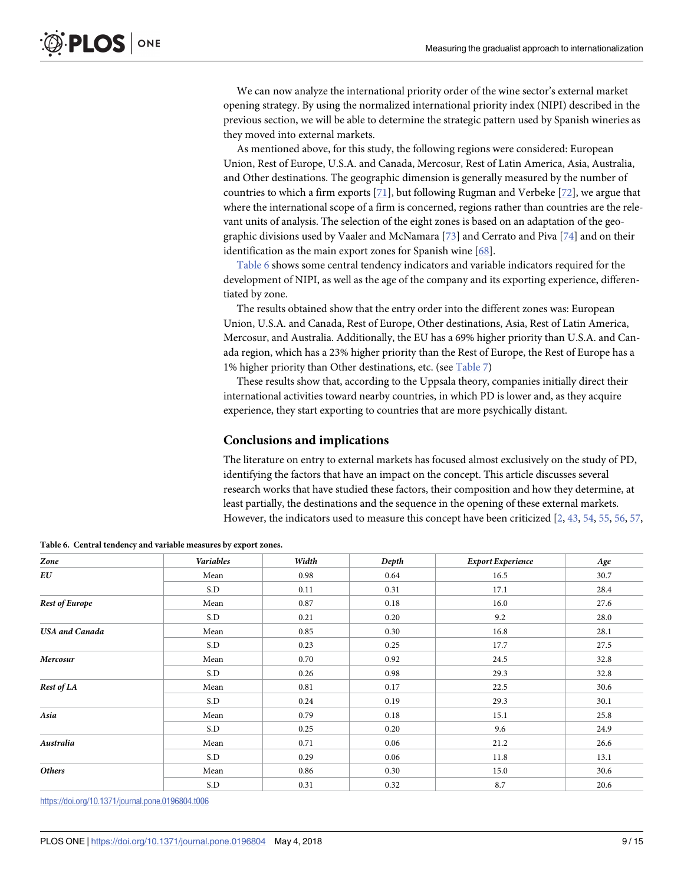<span id="page-8-0"></span>We can now analyze the international priority order of the wine sector's external market opening strategy. By using the normalized international priority index (NIPI) described in the previous section, we will be able to determine the strategic pattern used by Spanish wineries as they moved into external markets.

As mentioned above, for this study, the following regions were considered: European Union, Rest of Europe, U.S.A. and Canada, Mercosur, Rest of Latin America, Asia, Australia, and Other destinations. The geographic dimension is generally measured by the number of countries to which a firm exports [\[71\]](#page-14-0), but following Rugman and Verbeke [[72](#page-14-0)], we argue that where the international scope of a firm is concerned, regions rather than countries are the relevant units of analysis. The selection of the eight zones is based on an adaptation of the geographic divisions used by Vaaler and McNamara [\[73\]](#page-14-0) and Cerrato and Piva [\[74\]](#page-14-0) and on their identification as the main export zones for Spanish wine [[68](#page-14-0)].

Table 6 shows some central tendency indicators and variable indicators required for the development of NIPI, as well as the age of the company and its exporting experience, differentiated by zone.

The results obtained show that the entry order into the different zones was: European Union, U.S.A. and Canada, Rest of Europe, Other destinations, Asia, Rest of Latin America, Mercosur, and Australia. Additionally, the EU has a 69% higher priority than U.S.A. and Canada region, which has a 23% higher priority than the Rest of Europe, the Rest of Europe has a 1% higher priority than Other destinations, etc. (see [Table](#page-9-0) 7)

These results show that, according to the Uppsala theory, companies initially direct their international activities toward nearby countries, in which PD is lower and, as they acquire experience, they start exporting to countries that are more psychically distant.

#### **Conclusions and implications**

The literature on entry to external markets has focused almost exclusively on the study of PD, identifying the factors that have an impact on the concept. This article discusses several research works that have studied these factors, their composition and how they determine, at least partially, the destinations and the sequence in the opening of these external markets. However, the indicators used to measure this concept have been criticized [\[2,](#page-11-0) [43,](#page-13-0) [54,](#page-13-0) [55,](#page-13-0) [56,](#page-13-0) [57,](#page-14-0)

| Zone                  | <b>Variables</b> | Width | Depth | <b>Export Experience</b> | Age  |
|-----------------------|------------------|-------|-------|--------------------------|------|
| EU                    | Mean             | 0.98  | 0.64  | 16.5                     | 30.7 |
|                       | S.D              | 0.11  | 0.31  | 17.1                     | 28.4 |
| <b>Rest of Europe</b> | Mean             | 0.87  | 0.18  | 16.0                     | 27.6 |
|                       | S.D              | 0.21  | 0.20  | 9.2                      | 28.0 |
| <b>USA</b> and Canada | Mean             | 0.85  | 0.30  | 16.8                     | 28.1 |
|                       | S.D              | 0.23  | 0.25  | 17.7                     | 27.5 |
| Mercosur              | Mean             | 0.70  | 0.92  | 24.5                     | 32.8 |
|                       | S.D              | 0.26  | 0.98  | 29.3                     | 32.8 |
| Rest of LA            | Mean             | 0.81  | 0.17  | 22.5                     | 30.6 |
|                       | S.D              | 0.24  | 0.19  | 29.3                     | 30.1 |
| Asia                  | Mean             | 0.79  | 0.18  | 15.1                     | 25.8 |
|                       | S.D              | 0.25  | 0.20  | 9.6                      | 24.9 |
| Australia             | Mean             | 0.71  | 0.06  | 21.2                     | 26.6 |
|                       | S.D              | 0.29  | 0.06  | 11.8                     | 13.1 |
| <b>Others</b>         | Mean             | 0.86  | 0.30  | 15.0                     | 30.6 |
|                       | S.D              | 0.31  | 0.32  | 8.7                      | 20.6 |

**Table 6. Central tendency and variable measures by export zones.**

<https://doi.org/10.1371/journal.pone.0196804.t006>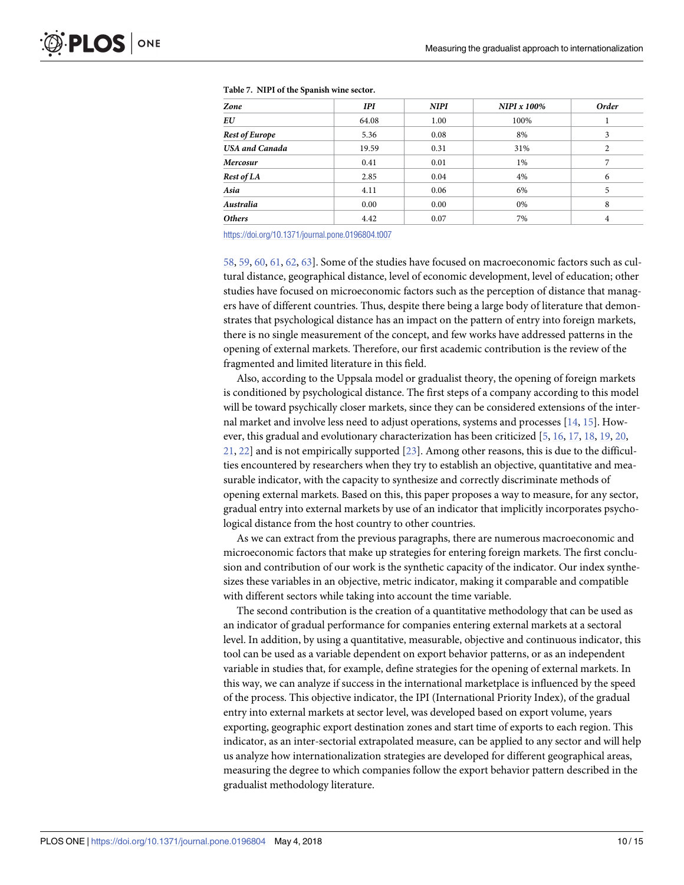| Zone                  | IPI   | <b>NIPI</b> | $NIPI x 100\%$ | Order |
|-----------------------|-------|-------------|----------------|-------|
| EU                    | 64.08 | 1.00        | 100%           |       |
| <b>Rest of Europe</b> | 5.36  | 0.08        | 8%             | 3     |
| <b>USA</b> and Canada | 19.59 | 0.31        | 31%            | 2     |
| Mercosur              | 0.41  | 0.01        | $1\%$          |       |
| Rest of LA            | 2.85  | 0.04        | 4%             | 6     |
| Asia                  | 4.11  | 0.06        | 6%             |       |
| Australia             | 0.00  | 0.00        | 0%             | 8     |
| <b>Others</b>         | 4.42  | 0.07        | 7%             | 4     |

<span id="page-9-0"></span>**[Table](#page-8-0) 7. NIPI of the Spanish wine sector.**

[58,](#page-14-0) [59](#page-14-0), [60](#page-14-0), [61](#page-14-0), [62](#page-14-0), [63](#page-14-0)]. Some of the studies have focused on macroeconomic factors such as cultural distance, geographical distance, level of economic development, level of education; other studies have focused on microeconomic factors such as the perception of distance that managers have of different countries. Thus, despite there being a large body of literature that demonstrates that psychological distance has an impact on the pattern of entry into foreign markets, there is no single measurement of the concept, and few works have addressed patterns in the opening of external markets. Therefore, our first academic contribution is the review of the fragmented and limited literature in this field.

Also, according to the Uppsala model or gradualist theory, the opening of foreign markets is conditioned by psychological distance. The first steps of a company according to this model will be toward psychically closer markets, since they can be considered extensions of the internal market and involve less need to adjust operations, systems and processes [[14](#page-12-0), [15](#page-12-0)]. However, this gradual and evolutionary characterization has been criticized [[5,](#page-12-0) [16,](#page-12-0) [17](#page-12-0), [18](#page-12-0), [19](#page-12-0), [20](#page-12-0), [21,](#page-12-0) [22](#page-12-0)] and is not empirically supported [[23](#page-12-0)]. Among other reasons, this is due to the difficulties encountered by researchers when they try to establish an objective, quantitative and measurable indicator, with the capacity to synthesize and correctly discriminate methods of opening external markets. Based on this, this paper proposes a way to measure, for any sector, gradual entry into external markets by use of an indicator that implicitly incorporates psychological distance from the host country to other countries.

As we can extract from the previous paragraphs, there are numerous macroeconomic and microeconomic factors that make up strategies for entering foreign markets. The first conclusion and contribution of our work is the synthetic capacity of the indicator. Our index synthesizes these variables in an objective, metric indicator, making it comparable and compatible with different sectors while taking into account the time variable.

The second contribution is the creation of a quantitative methodology that can be used as an indicator of gradual performance for companies entering external markets at a sectoral level. In addition, by using a quantitative, measurable, objective and continuous indicator, this tool can be used as a variable dependent on export behavior patterns, or as an independent variable in studies that, for example, define strategies for the opening of external markets. In this way, we can analyze if success in the international marketplace is influenced by the speed of the process. This objective indicator, the IPI (International Priority Index), of the gradual entry into external markets at sector level, was developed based on export volume, years exporting, geographic export destination zones and start time of exports to each region. This indicator, as an inter-sectorial extrapolated measure, can be applied to any sector and will help us analyze how internationalization strategies are developed for different geographical areas, measuring the degree to which companies follow the export behavior pattern described in the gradualist methodology literature.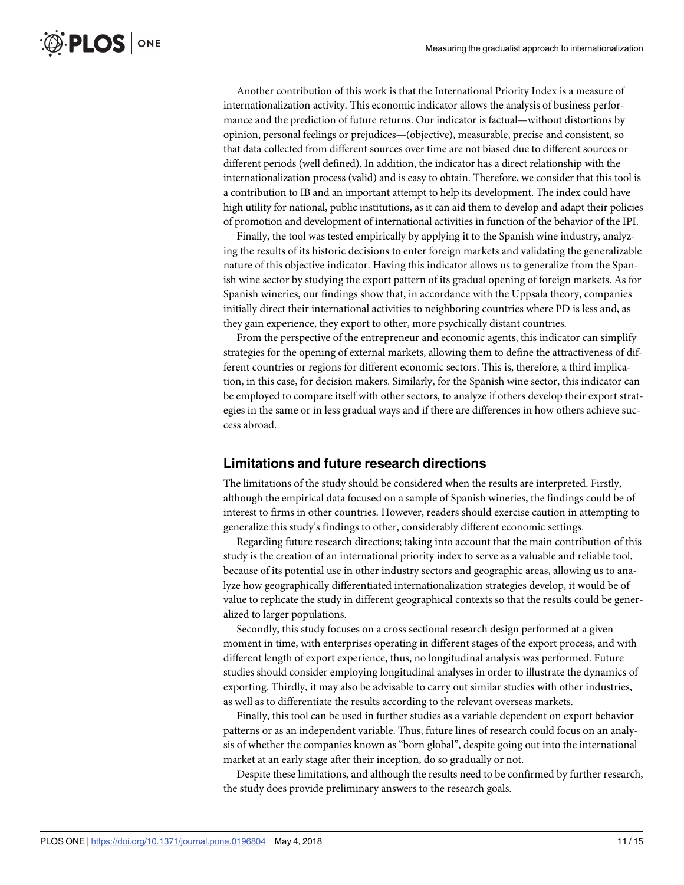Another contribution of this work is that the International Priority Index is a measure of internationalization activity. This economic indicator allows the analysis of business performance and the prediction of future returns. Our indicator is factual—without distortions by opinion, personal feelings or prejudices—(objective), measurable, precise and consistent, so that data collected from different sources over time are not biased due to different sources or different periods (well defined). In addition, the indicator has a direct relationship with the internationalization process (valid) and is easy to obtain. Therefore, we consider that this tool is a contribution to IB and an important attempt to help its development. The index could have high utility for national, public institutions, as it can aid them to develop and adapt their policies of promotion and development of international activities in function of the behavior of the IPI.

Finally, the tool was tested empirically by applying it to the Spanish wine industry, analyzing the results of its historic decisions to enter foreign markets and validating the generalizable nature of this objective indicator. Having this indicator allows us to generalize from the Spanish wine sector by studying the export pattern of its gradual opening of foreign markets. As for Spanish wineries, our findings show that, in accordance with the Uppsala theory, companies initially direct their international activities to neighboring countries where PD is less and, as they gain experience, they export to other, more psychically distant countries.

From the perspective of the entrepreneur and economic agents, this indicator can simplify strategies for the opening of external markets, allowing them to define the attractiveness of different countries or regions for different economic sectors. This is, therefore, a third implication, in this case, for decision makers. Similarly, for the Spanish wine sector, this indicator can be employed to compare itself with other sectors, to analyze if others develop their export strategies in the same or in less gradual ways and if there are differences in how others achieve success abroad.

## **Limitations and future research directions**

The limitations of the study should be considered when the results are interpreted. Firstly, although the empirical data focused on a sample of Spanish wineries, the findings could be of interest to firms in other countries. However, readers should exercise caution in attempting to generalize this study's findings to other, considerably different economic settings.

Regarding future research directions; taking into account that the main contribution of this study is the creation of an international priority index to serve as a valuable and reliable tool, because of its potential use in other industry sectors and geographic areas, allowing us to analyze how geographically differentiated internationalization strategies develop, it would be of value to replicate the study in different geographical contexts so that the results could be generalized to larger populations.

Secondly, this study focuses on a cross sectional research design performed at a given moment in time, with enterprises operating in different stages of the export process, and with different length of export experience, thus, no longitudinal analysis was performed. Future studies should consider employing longitudinal analyses in order to illustrate the dynamics of exporting. Thirdly, it may also be advisable to carry out similar studies with other industries, as well as to differentiate the results according to the relevant overseas markets.

Finally, this tool can be used in further studies as a variable dependent on export behavior patterns or as an independent variable. Thus, future lines of research could focus on an analysis of whether the companies known as "born global", despite going out into the international market at an early stage after their inception, do so gradually or not.

Despite these limitations, and although the results need to be confirmed by further research, the study does provide preliminary answers to the research goals.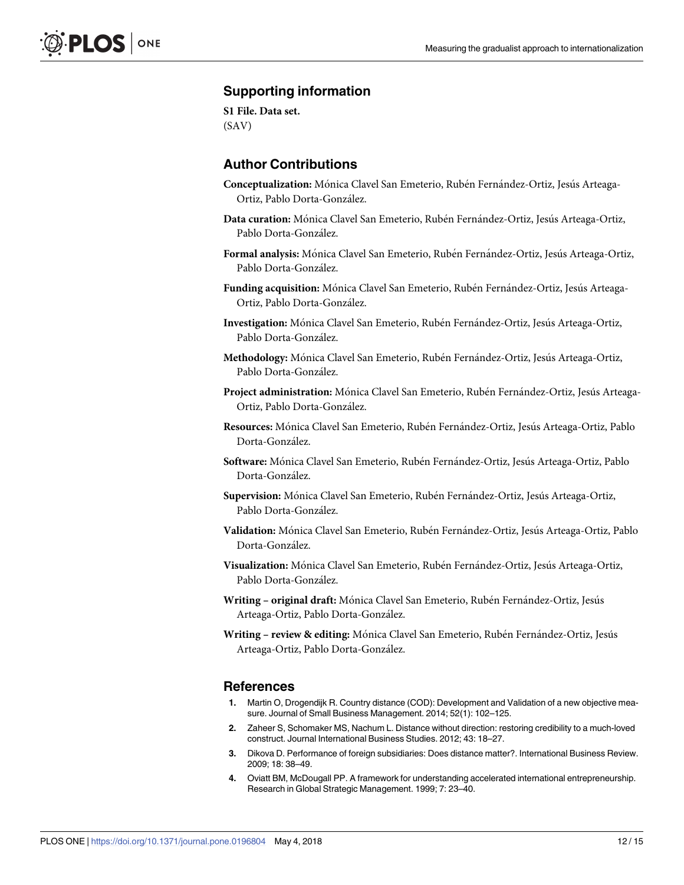# <span id="page-11-0"></span>**Supporting information**

**S1 [File.](http://www.plosone.org/article/fetchSingleRepresentation.action?uri=info:doi/10.1371/journal.pone.0196804.s001) Data set.** (SAV)

# **Author Contributions**

- **Conceptualization:** Mónica Clavel San Emeterio, Rubén Fernández-Ortiz, Jesús Arteaga-Ortiz, Pablo Dorta-González.
- Data curation: Mónica Clavel San Emeterio, Rubén Fernández-Ortiz, Jesús Arteaga-Ortiz, Pablo Dorta-González.
- Formal analysis: Mónica Clavel San Emeterio, Rubén Fernández-Ortiz, Jesús Arteaga-Ortiz, Pablo Dorta-González.
- Funding acquisition: Mónica Clavel San Emeterio, Rubén Fernández-Ortiz, Jesús Arteaga-Ortiz, Pablo Dorta-González.
- **Investigation:** Mónica Clavel San Emeterio, Rubén Fernández-Ortiz, Jesús Arteaga-Ortiz, Pablo Dorta-González.
- Methodology: Mónica Clavel San Emeterio, Rubén Fernández-Ortiz, Jesús Arteaga-Ortiz, Pablo Dorta-González.
- Project administration: Mónica Clavel San Emeterio, Rubén Fernández-Ortiz, Jesús Arteaga-Ortiz, Pablo Dorta-González.
- **Resources:** Mónica Clavel San Emeterio, Rubén Fernández-Ortiz, Jesús Arteaga-Ortiz, Pablo Dorta-González.
- Software: Mónica Clavel San Emeterio, Rubén Fernández-Ortiz, Jesús Arteaga-Ortiz, Pablo Dorta-González.
- Supervision: Mónica Clavel San Emeterio, Rubén Fernández-Ortiz, Jesús Arteaga-Ortiz, Pablo Dorta-González.
- Validation: Mónica Clavel San Emeterio, Rubén Fernández-Ortiz, Jesús Arteaga-Ortiz, Pablo Dorta-González.
- Visualization: Mónica Clavel San Emeterio, Rubén Fernández-Ortiz, Jesús Arteaga-Ortiz, Pablo Dorta-González.
- **Writing original draft:** Mónica Clavel San Emeterio, Rubén Fernández-Ortiz, Jesús Arteaga-Ortiz, Pablo Dorta-González.
- **Writing review & editing:** Mónica Clavel San Emeterio, Rubén Fernández-Ortiz, Jesús Arteaga-Ortiz, Pablo Dorta-González.

## **References**

- **[1](#page-0-0).** Martin O, Drogendijk R. Country distance (COD): Development and Validation of a new objective measure. Journal of Small Business Management. 2014; 52(1): 102–125.
- **[2](#page-0-0).** Zaheer S, Schomaker MS, Nachum L. Distance without direction: restoring credibility to a much-loved construct. Journal International Business Studies. 2012; 43: 18–27.
- **[3](#page-0-0).** Dikova D. Performance of foreign subsidiaries: Does distance matter?. International Business Review. 2009; 18: 38–49.
- **[4](#page-1-0).** Oviatt BM, McDougall PP. A framework for understanding accelerated international entrepreneurship. Research in Global Strategic Management. 1999; 7: 23–40.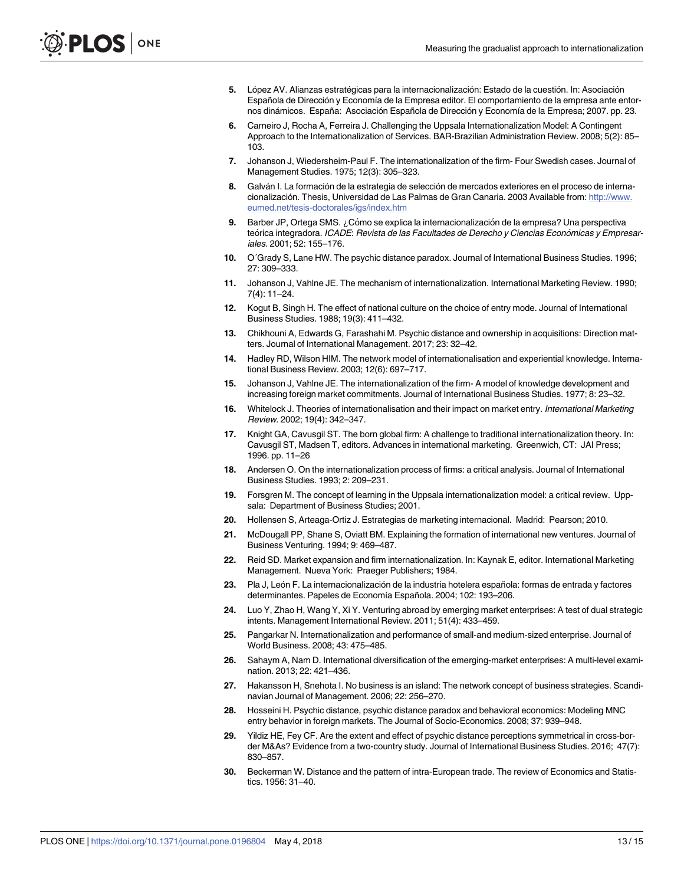- <span id="page-12-0"></span>**[5](#page-1-0).** López AV. Alianzas estratégicas para la internacionalización: Estado de la cuestión. In: Asociación Española de Dirección y Economía de la Empresa editor. El comportamiento de la empresa ante entornos dinámicos. España: Asociación Española de Dirección y Economía de la Empresa; 2007. pp. 23.
- **[6](#page-1-0).** Carneiro J, Rocha A, Ferreira J. Challenging the Uppsala Internationalization Model: A Contingent Approach to the Internationalization of Services. BAR-Brazilian Administration Review. 2008; 5(2): 85– 103.
- **[7](#page-1-0).** Johanson J, Wiedersheim-Paul F. The internationalization of the firm- Four Swedish cases. Journal of Management Studies. 1975; 12(3): 305–323.
- **[8](#page-1-0).** Galván I. La formación de la estrategia de selección de mercados exteriores en el proceso de internacionalización. Thesis, Universidad de Las Palmas de Gran Canaria. 2003 Available from: [http://www.](http://www.eumed.net/tesis-doctorales/igs/index.htm) [eumed.net/tesis-doctorales/igs/index.htm](http://www.eumed.net/tesis-doctorales/igs/index.htm)
- **[9](#page-1-0).** Barber JP, Ortega SMS. ¿Cómo se explica la internacionalización de la empresa? Una perspectiva teórica integradora. ICADE: Revista de las Facultades de Derecho y Ciencias Económicas y Empresariales. 2001; 52: 155–176.
- **[10](#page-1-0).** O´Grady S, Lane HW. The psychic distance paradox. Journal of International Business Studies. 1996; 27: 309–333.
- **[11](#page-1-0).** Johanson J, Vahlne JE. The mechanism of internationalization. International Marketing Review. 1990; 7(4): 11–24.
- **[12](#page-1-0).** Kogut B, Singh H. The effect of national culture on the choice of entry mode. Journal of International Business Studies. 1988; 19(3): 411–432.
- **[13](#page-1-0).** Chikhouni A, Edwards G, Farashahi M. Psychic distance and ownership in acquisitions: Direction matters. Journal of International Management. 2017; 23: 32–42.
- **[14](#page-1-0).** Hadley RD, Wilson HIM. The network model of internationalisation and experiential knowledge. International Business Review. 2003; 12(6): 697–717.
- **[15](#page-1-0).** Johanson J, Vahlne JE. The internationalization of the firm- A model of knowledge development and increasing foreign market commitments. Journal of International Business Studies. 1977; 8: 23–32.
- **[16](#page-1-0).** Whitelock J. Theories of internationalisation and their impact on market entry. International Marketing Review. 2002; 19(4): 342–347.
- **[17](#page-1-0).** Knight GA, Cavusgil ST. The born global firm: A challenge to traditional internationalization theory. In: Cavusgil ST, Madsen T, editors. Advances in international marketing. Greenwich, CT: JAI Press; 1996. pp. 11–26
- **[18](#page-1-0).** Andersen O. On the internationalization process of firms: a critical analysis. Journal of International Business Studies. 1993; 2: 209–231.
- **[19](#page-1-0).** Forsgren M. The concept of learning in the Uppsala internationalization model: a critical review. Uppsala: Department of Business Studies; 2001.
- **[20](#page-1-0).** Hollensen S, Arteaga-Ortiz J. Estrategias de marketing internacional. Madrid: Pearson; 2010.
- **[21](#page-1-0).** McDougall PP, Shane S, Oviatt BM. Explaining the formation of international new ventures. Journal of Business Venturing. 1994; 9: 469–487.
- **[22](#page-1-0).** Reid SD. Market expansion and firm internationalization. In: Kaynak E, editor. International Marketing Management. Nueva York: Praeger Publishers; 1984.
- **[23](#page-1-0).** Pla J, León F. La internacionalización de la industria hotelera española: formas de entrada y factores determinantes. Papeles de Economía Española. 2004; 102: 193-206.
- **[24](#page-1-0).** Luo Y, Zhao H, Wang Y, Xi Y. Venturing abroad by emerging market enterprises: A test of dual strategic intents. Management International Review. 2011; 51(4): 433–459.
- **[25](#page-1-0).** Pangarkar N. Internationalization and performance of small-and medium-sized enterprise. Journal of World Business. 2008; 43: 475–485.
- **[26](#page-1-0).** Sahaym A, Nam D. International diversification of the emerging-market enterprises: A multi-level examination. 2013; 22: 421–436.
- **[27](#page-2-0).** Hakansson H, Snehota I. No business is an island: The network concept of business strategies. Scandinavian Journal of Management. 2006; 22: 256–270.
- **[28](#page-2-0).** Hosseini H. Psychic distance, psychic distance paradox and behavioral economics: Modeling MNC entry behavior in foreign markets. The Journal of Socio-Economics. 2008; 37: 939–948.
- **[29](#page-2-0).** Yildiz HE, Fey CF. Are the extent and effect of psychic distance perceptions symmetrical in cross-border M&As? Evidence from a two-country study. Journal of International Business Studies. 2016; 47(7): 830–857.
- **[30](#page-2-0).** Beckerman W. Distance and the pattern of intra-European trade. The review of Economics and Statistics. 1956: 31–40.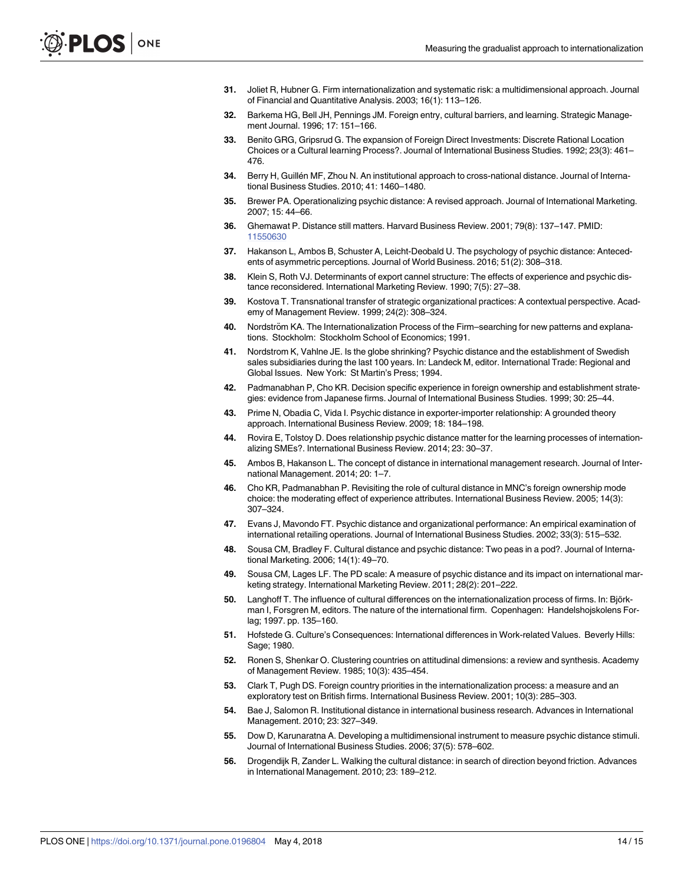- <span id="page-13-0"></span>**[31](#page-2-0).** Joliet R, Hubner G. Firm internationalization and systematic risk: a multidimensional approach. Journal of Financial and Quantitative Analysis. 2003; 16(1): 113–126.
- **[32](#page-2-0).** Barkema HG, Bell JH, Pennings JM. Foreign entry, cultural barriers, and learning. Strategic Management Journal. 1996; 17: 151–166.
- **[33](#page-2-0).** Benito GRG, Gripsrud G. The expansion of Foreign Direct Investments: Discrete Rational Location Choices or a Cultural learning Process?. Journal of International Business Studies. 1992; 23(3): 461– 476.
- **[34](#page-2-0).** Berry H, Guillén MF, Zhou N. An institutional approach to cross-national distance. Journal of International Business Studies. 2010; 41: 1460–1480.
- **[35](#page-2-0).** Brewer PA. Operationalizing psychic distance: A revised approach. Journal of International Marketing. 2007; 15: 44–66.
- **[36](#page-2-0).** Ghemawat P. Distance still matters. Harvard Business Review. 2001; 79(8): 137–147. PMID: [11550630](http://www.ncbi.nlm.nih.gov/pubmed/11550630)
- **[37](#page-2-0).** Hakanson L, Ambos B, Schuster A, Leicht-Deobald U. The psychology of psychic distance: Antecedents of asymmetric perceptions. Journal of World Business. 2016; 51(2): 308–318.
- **[38](#page-2-0).** Klein S, Roth VJ. Determinants of export cannel structure: The effects of experience and psychic distance reconsidered. International Marketing Review. 1990; 7(5): 27–38.
- **[39](#page-2-0).** Kostova T. Transnational transfer of strategic organizational practices: A contextual perspective. Academy of Management Review. 1999; 24(2): 308–324.
- **[40](#page-2-0).** Nordström KA. The Internationalization Process of the Firm–searching for new patterns and explanations. Stockholm: Stockholm School of Economics; 1991.
- **[41](#page-2-0).** Nordstrom K, Vahlne JE. Is the globe shrinking? Psychic distance and the establishment of Swedish sales subsidiaries during the last 100 years. In: Landeck M, editor. International Trade: Regional and Global Issues. New York: St Martin's Press; 1994.
- **[42](#page-2-0).** Padmanabhan P, Cho KR. Decision specific experience in foreign ownership and establishment strategies: evidence from Japanese firms. Journal of International Business Studies. 1999; 30: 25–44.
- **[43](#page-2-0).** Prime N, Obadia C, Vida I. Psychic distance in exporter-importer relationship: A grounded theory approach. International Business Review. 2009; 18: 184–198.
- **[44](#page-2-0).** Rovira E, Tolstoy D. Does relationship psychic distance matter for the learning processes of internationalizing SMEs?. International Business Review. 2014; 23: 30–37.
- **[45](#page-2-0).** Ambos B, Hakanson L. The concept of distance in international management research. Journal of International Management. 2014; 20: 1–7.
- **[46](#page-2-0).** Cho KR, Padmanabhan P. Revisiting the role of cultural distance in MNC's foreign ownership mode choice: the moderating effect of experience attributes. International Business Review. 2005; 14(3): 307–324.
- **[47](#page-2-0).** Evans J, Mavondo FT. Psychic distance and organizational performance: An empirical examination of international retailing operations. Journal of International Business Studies. 2002; 33(3): 515–532.
- **[48](#page-2-0).** Sousa CM, Bradley F. Cultural distance and psychic distance: Two peas in a pod?. Journal of International Marketing. 2006; 14(1): 49–70.
- **[49](#page-2-0).** Sousa CM, Lages LF. The PD scale: A measure of psychic distance and its impact on international marketing strategy. International Marketing Review. 2011; 28(2): 201–222.
- **[50](#page-2-0).** Langhoff T. The influence of cultural differences on the internationalization process of firms. In: Biörkman I, Forsgren M, editors. The nature of the international firm. Copenhagen: Handelshojskolens Forlag; 1997. pp. 135–160.
- **[51](#page-2-0).** Hofstede G. Culture's Consequences: International differences in Work-related Values. Beverly Hills: Sage: 1980.
- **[52](#page-2-0).** Ronen S, Shenkar O. Clustering countries on attitudinal dimensions: a review and synthesis. Academy of Management Review. 1985; 10(3): 435–454.
- **[53](#page-3-0).** Clark T, Pugh DS. Foreign country priorities in the internationalization process: a measure and an exploratory test on British firms. International Business Review. 2001; 10(3): 285–303.
- **[54](#page-3-0).** Bae J, Salomon R. Institutional distance in international business research. Advances in International Management. 2010; 23: 327–349.
- **[55](#page-3-0).** Dow D, Karunaratna A. Developing a multidimensional instrument to measure psychic distance stimuli. Journal of International Business Studies. 2006; 37(5): 578–602.
- **[56](#page-3-0).** Drogendijk R, Zander L. Walking the cultural distance: in search of direction beyond friction. Advances in International Management. 2010; 23: 189–212.